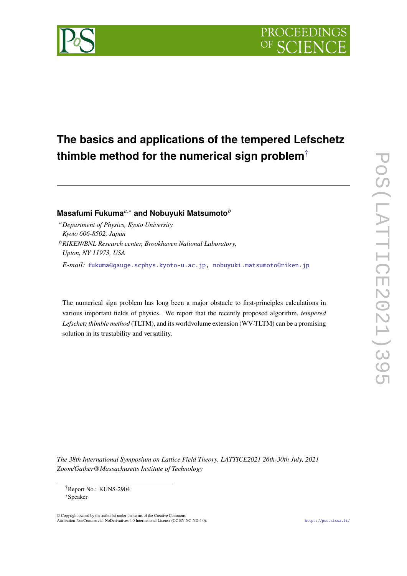



# Masafumi Fukuma<sup>*a*,∗</sup> and Nobuyuki Matsumoto<sup>*b*</sup>

- *Department of Physics, Kyoto University Kyoto 606-8502, Japan*
- *RIKEN/BNL Research center, Brookhaven National Laboratory, Upton, NY 11973, USA*

*E-mail:* [fukuma@gauge.scphys.kyoto-u.ac.jp,](mailto:fukuma@gauge.scphys.kyoto-u.ac.jp) [nobuyuki.matsumoto@riken.jp](mailto:nobuyuki.matsumoto@riken.jp)

The numerical sign problem has long been a major obstacle to first-principles calculations in various important fields of physics. We report that the recently proposed algorithm, *tempered Lefschetz thimble method* (TLTM), and its worldvolume extension (WV-TLTM) can be a promising solution in its trustability and versatility.

*The 38th International Symposium on Lattice Field Theory, LATTICE2021 26th-30th July, 2021 Zoom/Gather@Massachusetts Institute of Technology*

 $\odot$  Copyright owned by the author(s) under the terms of the Creative Common Attribution-NonCommercial-NoDerivatives 4.0 International License (CC BY-NC-ND 4.0). <https://pos.sissa.it/>

<span id="page-0-0"></span><sup>†</sup>Report No.: KUNS-2904

<sup>∗</sup>Speaker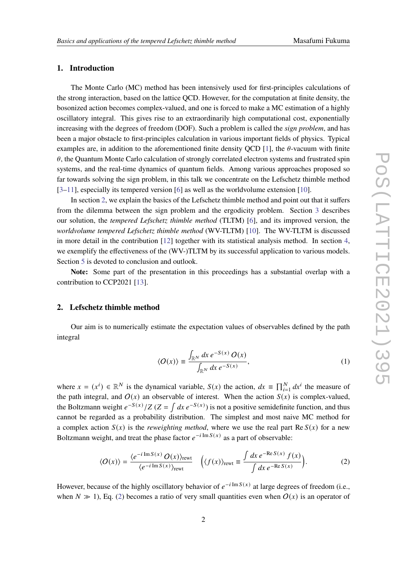## **1. Introduction**

The Monte Carlo (MC) method has been intensively used for first-principles calculations of the strong interaction, based on the lattice QCD. However, for the computation at finite density, the bosonized action becomes complex-valued, and one is forced to make a MC estimation of a highly oscillatory integral. This gives rise to an extraordinarily high computational cost, exponentially increasing with the degrees of freedom (DOF). Such a problem is called the *sign problem*, and has been a major obstacle to first-principles calculation in various important fields of physics. Typical examples are, in addition to the aforementioned finite density OCD [\[1\]](#page-7-0), the  $\theta$ -vacuum with finite  $\theta$ , the Quantum Monte Carlo calculation of strongly correlated electron systems and frustrated spin systems, and the real-time dynamics of quantum fields. Among various approaches proposed so far towards solving the sign problem, in this talk we concentrate on the Lefschetz thimble method  $[3-11]$  $[3-11]$ , especially its tempered version [\[6\]](#page-7-2) as well as the worldvolume extension [\[10\]](#page-8-1).

In section [2,](#page-1-0) we explain the basics of the Lefschetz thimble method and point out that it suffers from the dilemma between the sign problem and the ergodicity problem. Section [3](#page-4-0) describes our solution, the *tempered Lefschetz thimble method* (TLTM) [\[6\]](#page-7-2), and its improved version, the *worldvolume tempered Lefschetz thimble method* (WV-TLTM) [\[10\]](#page-8-1). The WV-TLTM is discussed in more detail in the contribution [\[12\]](#page-8-2) together with its statistical analysis method. In section [4,](#page-5-0) we exemplify the effectiveness of the (WV-)TLTM by its successful application to various models. Section [5](#page-7-3) is devoted to conclusion and outlook.

**Note:** Some part of the presentation in this proceedings has a substantial overlap with a contribution to CCP2021 [\[13\]](#page-8-3).

## <span id="page-1-0"></span>**2. Lefschetz thimble method**

Our aim is to numerically estimate the expectation values of observables defined by the path integral

<span id="page-1-1"></span>
$$
\langle O(x) \rangle \equiv \frac{\int_{\mathbb{R}^N} dx \, e^{-S(x)} \, O(x)}{\int_{\mathbb{R}^N} dx \, e^{-S(x)}},\tag{1}
$$

where  $x = (x^i) \in \mathbb{R}^N$  is the dynamical variable,  $S(x)$  the action,  $dx \equiv \prod_{i=1}^N dx^i$  the measure of the path integral, and  $O(x)$  an observable of interest. When the action  $S(x)$  is complex-valued, the Boltzmann weight  $e^{-S(x)}/Z$  ( $Z = \int dx e^{-S(x)}$ ) is not a positive semidefinite function, and thus cannot be regarded as a probability distribution. The simplest and most naive MC method for a complex action  $S(x)$  is the *reweighting method*, where we use the real part Re  $S(x)$  for a new Boltzmann weight, and treat the phase factor  $e^{-i \operatorname{Im} S(x)}$  as a part of observable:

$$
\langle O(x) \rangle = \frac{\langle e^{-i \operatorname{Im} S(x)} O(x) \rangle_{\text{rewt}}}{\langle e^{-i \operatorname{Im} S(x)} \rangle_{\text{rewt}}} \quad \left( \langle f(x) \rangle_{\text{rewt}} \equiv \frac{\int dx \, e^{-\operatorname{Re} S(x)} f(x)}{\int dx \, e^{-\operatorname{Re} S(x)}} \right). \tag{2}
$$

However, because of the highly oscillatory behavior of  $e^{-i \text{Im} S(x)}$  at large degrees of freedom (i.e., when  $N \gg 1$ ), Eq. [\(2\)](#page-1-1) becomes a ratio of very small quantities even when  $O(x)$  is an operator of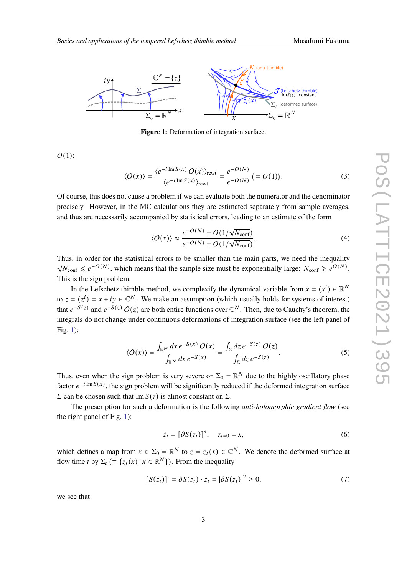

<span id="page-2-0"></span>

**Figure 1:** Deformation of integration surface.

 $O(1)$ :

$$
\langle O(x) \rangle = \frac{\langle e^{-i \operatorname{Im} S(x)} O(x) \rangle_{\text{rewt}}}{\langle e^{-i \operatorname{Im} S(x)} \rangle_{\text{rewt}}} = \frac{e^{-O(N)}}{e^{-O(N)}} \left( = O(1) \right). \tag{3}
$$

Of course, this does not cause a problem if we can evaluate both the numerator and the denominator precisely. However, in the MC calculations they are estimated separately from sample averages, and thus are necessarily accompanied by statistical errors, leading to an estimate of the form

$$
\langle O(x) \rangle \approx \frac{e^{-O(N)} \pm O(1/\sqrt{N_{\text{conf}}})}{e^{-O(N)} \pm O(1/\sqrt{N_{\text{conf}}})}.
$$
\n(4)

Thus, in order for the statistical errors to be smaller than the main parts, we need the inequality  $\sqrt{N_{\text{conf}}} \leq e^{-O(N)}$ , which means that the sample size must be exponentially large:  $N_{\text{conf}} \geq e^{O(N)}$ . This is the sign problem.

In the Lefschetz thimble method, we complexify the dynamical variable from  $x = (x^i) \in \mathbb{R}^N$ to  $z = (z^i) = x + iy \in \mathbb{C}^N$ . We make an assumption (which usually holds for systems of interest) that  $e^{-S(z)}$  and  $e^{-S(z)} O(z)$  are both entire functions over  $\mathbb{C}^N$ . Then, due to Cauchy's theorem, the integrals do not change under continuous deformations of integration surface (see the left panel of Fig. [1\)](#page-2-0):

$$
\langle O(x)\rangle = \frac{\int_{\mathbb{R}^N} dx \, e^{-S(x)} \, O(x)}{\int_{\mathbb{R}^N} dx \, e^{-S(x)}} = \frac{\int_{\Sigma} dz \, e^{-S(z)} \, O(z)}{\int_{\Sigma} dz \, e^{-S(z)}}.
$$
\n
$$
(5)
$$

Thus, even when the sign problem is very severe on  $\Sigma_0 = \mathbb{R}^N$  due to the highly oscillatory phase factor  $e^{-i \operatorname{Im} S(x)}$ , the sign problem will be significantly reduced if the deformed integration surface  $\Sigma$  can be chosen such that Im  $S(z)$  is almost constant on  $\Sigma$ .

The prescription for such a deformation is the following *anti-holomorphic gradient flow* (see the right panel of Fig. [1\)](#page-2-0):

<span id="page-2-1"></span>
$$
\dot{z}_t = [\partial S(z_t)]^*, \quad z_{t=0} = x,\tag{6}
$$

which defines a map from  $x \in \Sigma_0 = \mathbb{R}^N$  to  $z = z_t(x) \in \mathbb{C}^N$ . We denote the deformed surface at flow time *t* by  $\Sigma_t$  ( $\equiv \{z_t(x) | x \in \mathbb{R}^N\}$ ). From the inequality

$$
[S(z_t)] = \partial S(z_t) \cdot \dot{z}_t = |\partial S(z_t)|^2 \ge 0,
$$
\n<sup>(7)</sup>

we see that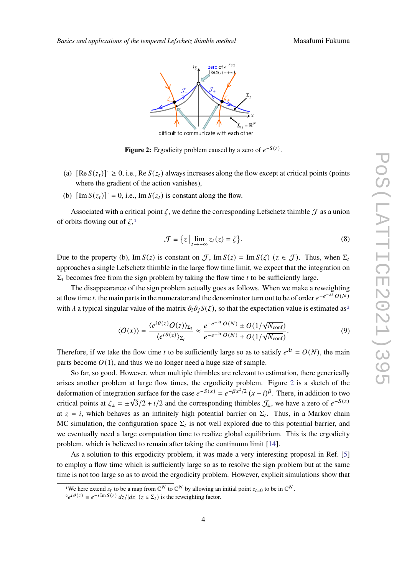<span id="page-3-2"></span>

**Figure 2:** Ergodicity problem caused by a zero of  $e^{-S(z)}$ .

- (a)  $[Re S(z_t)] \ge 0$ , i.e.,  $Re S(z_t)$  always increases along the flow except at critical points (points where the gradient of the action vanishes),
- (b)  $[\text{Im } S(z_t)] = 0$ , i.e.,  $\text{Im } S(z_t)$  is constant along the flow.

Associated with a critical point  $\zeta$ , we define the corresponding Lefschetz thimble  $\zeta$  as a union of orbits flowing out of  $\zeta$ <sup>[1](#page-3-0)</sup>

$$
\mathcal{J} \equiv \{z \mid \lim_{t \to -\infty} z_t(z) = \zeta \}.
$$
 (8)

Due to the property (b), Im  $S(z)$  is constant on J, Im  $S(z) = \text{Im } S(\zeta)$  ( $z \in \mathcal{J}$ ). Thus, when  $\Sigma_t$ approaches a single Lefschetz thimble in the large flow time limit, we expect that the integration on  $\Sigma_t$  becomes free from the sign problem by taking the flow time t to be sufficiently large.

The disappearance of the sign problem actually goes as follows. When we make a reweighting at flow time t, the main parts in the numerator and the denominator turn out to be of order  $e^{-e^{-\lambda t}}O(N)$ with  $\lambda$  a typical singular value of the matrix  $\partial_i \partial_j S(\zeta)$ , so that the expectation value is estimated as<sup>[2](#page-3-1)</sup>

$$
\langle O(x)\rangle = \frac{\langle e^{i\theta(z)}O(z)\rangle_{\Sigma_t}}{\langle e^{i\theta(z)}\rangle_{\Sigma_t}} \approx \frac{e^{-e^{-\lambda t}O(N)} \pm O(1/\sqrt{N_{\text{conf}}})}{e^{-e^{-\lambda t}O(N)} \pm O(1/\sqrt{N_{\text{conf}}})}.
$$
(9)

Therefore, if we take the flow time *t* to be sufficiently large so as to satisfy  $e^{\lambda t} = O(N)$ , the main parts become  $O(1)$ , and thus we no longer need a huge size of sample.

So far, so good. However, when multiple thimbles are relevant to estimation, there generically arises another problem at large flow times, the ergodicity problem. Figure [2](#page-3-2) is a sketch of the deformation of integration surface for the case  $e^{-S(x)} = e^{-\beta x^2/2} (x - i)^{\beta}$ . There, in addition to two critical points at  $\zeta_{\pm} = \pm \sqrt{3}/2 + i/2$  and the corresponding thimbles  $\mathcal{J}_{\pm}$ , we have a zero of  $e^{-S(z)}$ at  $z = i$ , which behaves as an infinitely high potential barrier on  $\Sigma_t$ . Thus, in a Markov chain MC simulation, the configuration space  $\Sigma_t$  is not well explored due to this potential barrier, and we eventually need a large computation time to realize global equilibrium. This is the ergodicity problem, which is believed to remain after taking the continuum limit [\[14\]](#page-8-4).

As a solution to this ergodicity problem, it was made a very interesting proposal in Ref. [\[5\]](#page-7-4) to employ a flow time which is sufficiently large so as to resolve the sign problem but at the same time is not too large so as to avoid the ergodicity problem. However, explicit simulations show that

<span id="page-3-0"></span><sup>&</sup>lt;sup>1</sup>We here extend  $z_t$  to be a map from  $\mathbb{C}^N$  to  $\mathbb{C}^N$  by allowing an initial point  $z_{t=0}$  to be in  $\mathbb{C}^N$ .

<span id="page-3-1"></span> $2e^{i\theta(z)} \equiv e^{-i \operatorname{Im} S(z)} dz / |dz| (z \in \Sigma_t)$  is the reweighting factor.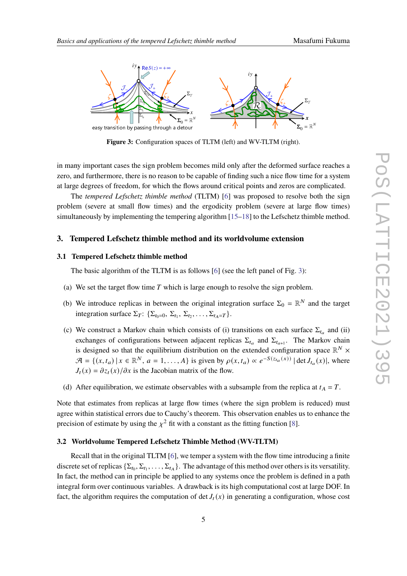<span id="page-4-1"></span>

**Figure 3:** Configuration spaces of TLTM (left) and WV-TLTM (right).

in many important cases the sign problem becomes mild only after the deformed surface reaches a zero, and furthermore, there is no reason to be capable of finding such a nice flow time for a system at large degrees of freedom, for which the flows around critical points and zeros are complicated.

The *tempered Lefschetz thimble method* (TLTM) [\[6\]](#page-7-2) was proposed to resolve both the sign problem (severe at small flow times) and the ergodicity problem (severe at large flow times) simultaneously by implementing the tempering algorithm [\[15](#page-8-5)[–18\]](#page-8-6) to the Lefschetz thimble method.

#### <span id="page-4-0"></span>**3. Tempered Lefschetz thimble method and its worldvolume extension**

#### **3.1 Tempered Lefschetz thimble method**

The basic algorithm of the TLTM is as follows [\[6\]](#page-7-2) (see the left panel of Fig. [3\)](#page-4-1):

- (a) We set the target flow time  $T$  which is large enough to resolve the sign problem.
- (b) We introduce replicas in between the original integration surface  $\Sigma_0 = \mathbb{R}^N$  and the target integration surface  $\Sigma_T$ :  $\{\Sigma_{t_0=0}, \Sigma_{t_1}, \Sigma_{t_2}, \dots, \Sigma_{t_A=T}\}.$
- (c) We construct a Markov chain which consists of (i) transitions on each surface  $\Sigma_{t_a}$  and (ii) exchanges of configurations between adjacent replicas  $\Sigma_{t_a}$  and  $\Sigma_{t_{a+1}}$ . The Markov chain is designed so that the equilibrium distribution on the extended configuration space  $\mathbb{R}^N$  ×  $\mathcal{A} = \{(x, t_a) | x \in \mathbb{R}^N, a = 1, \ldots, A\}$  is given by  $\rho(x, t_a) \propto e^{-S(z_{t_a}(x))} |\det J_{t_a}(x)|$ , where  $J_t(x) = \frac{\partial z_t(x)}{\partial x}$  is the Jacobian matrix of the flow.
- (d) After equilibration, we estimate observables with a subsample from the replica at  $t_A = T$ .

Note that estimates from replicas at large flow times (where the sign problem is reduced) must agree within statistical errors due to Cauchy's theorem. This observation enables us to enhance the precision of estimate by using the  $\chi^2$  fit with a constant as the fitting function [\[8\]](#page-8-7).

### **3.2 Worldvolume Tempered Lefschetz Thimble Method (WV-TLTM)**

Recall that in the original TLTM [\[6\]](#page-7-2), we temper a system with the flow time introducing a finite discrete set of replicas  $\{\Sigma_{t_0}, \Sigma_{t_1}, \ldots, \Sigma_{t_A}\}$ . The advantage of this method over others is its versatility. In fact, the method can in principle be applied to any systems once the problem is defined in a path integral form over continuous variables. A drawback is its high computational cost at large DOF. In fact, the algorithm requires the computation of det  $J_t(x)$  in generating a configuration, whose cost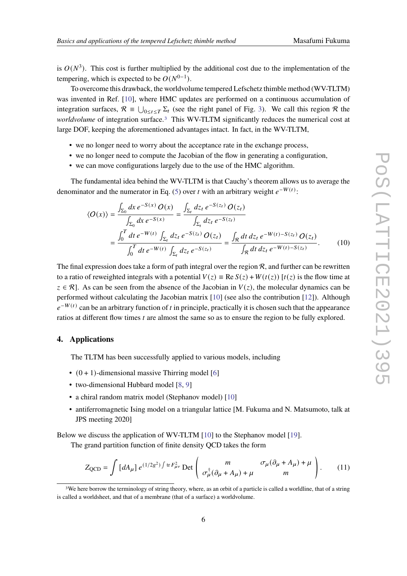is  $O(N^3)$ . This cost is further multiplied by the additional cost due to the implementation of the tempering, which is expected to be  $O(N^{0-1})$ .

To overcome this drawback, the worldvolume tempered Lefschetz thimble method (WV-TLTM) was invented in Ref. [\[10\]](#page-8-1), where HMC updates are performed on a continuous accumulation of integration surfaces,  $\mathcal{R} \equiv \bigcup_{0 \le t \le T} \Sigma_t$  (see the right panel of Fig. [3\)](#page-4-1). We call this region  $\mathcal{R}$  the *worldvolume* of integration surface.<sup>[3](#page-5-1)</sup> This WV-TLTM significantly reduces the numerical cost at large DOF, keeping the aforementioned advantages intact. In fact, in the WV-TLTM,

- we no longer need to worry about the acceptance rate in the exchange process,
- we no longer need to compute the Jacobian of the flow in generating a configuration,
- we can move configurations largely due to the use of the HMC algorithm.

The fundamental idea behind the WV-TLTM is that Cauchy's theorem allows us to average the denominator and the numerator in Eq. [\(5\)](#page-2-1) over *t* with an arbitrary weight  $e^{-W(t)}$ :

$$
\langle O(x) \rangle = \frac{\int_{\Sigma_0} dx \, e^{-S(x)} \, O(x)}{\int_{\Sigma_0} dx \, e^{-S(x)}} = \frac{\int_{\Sigma_t} dz_t \, e^{-S(z_t)} \, O(z_t)}{\int_{\Sigma_t} dz_t \, e^{-S(z_t)}} = \frac{\int_0^T dt \, e^{-W(t)} \int_{\Sigma_t} dz_t \, e^{-S(z_t)} \, O(z_t)}{\int_0^T dt \, e^{-W(t)} \int_{\Sigma_t} dz_t \, e^{-S(z_t)}} = \frac{\int_R dt \, dz_t \, e^{-W(t) - S(z_t)} \, O(z_t)}{\int_R dt \, dz_t \, e^{-W(t) - S(z_t)}}. \tag{10}
$$

The final expression does take a form of path integral over the region  $\mathcal{R}$ , and further can be rewritten to a ratio of reweighted integrals with a potential  $V(z) \equiv \text{Re } S(z) + W(t(z))$  [ $t(z)$ ) is the flow time at  $z \in \mathcal{R}$ . As can be seen from the absence of the Jacobian in  $V(z)$ , the molecular dynamics can be performed without calculating the Jacobian matrix [\[10\]](#page-8-1) (see also the contribution [\[12\]](#page-8-2)). Although  $e^{-W(t)}$  can be an arbitrary function of t in principle, practically it is chosen such that the appearance ratios at different flow times  $t$  are almost the same so as to ensure the region to be fully explored.

#### <span id="page-5-0"></span>**4. Applications**

The TLTM has been successfully applied to various models, including

- $(0 + 1)$ -dimensional massive Thirring model [\[6\]](#page-7-2)
- two-dimensional Hubbard model [\[8,](#page-8-7) [9\]](#page-8-8)
- a chiral random matrix model (Stephanov model) [\[10\]](#page-8-1)
- antiferromagnetic Ising model on a triangular lattice [M. Fukuma and N. Matsumoto, talk at JPS meeting 2020]

Below we discuss the application of WV-TLTM [\[10\]](#page-8-1) to the Stephanov model [\[19\]](#page-8-9).

The grand partition function of finite density QCD takes the form

$$
Z_{\text{QCD}} = \int \left[ dA_{\mu} \right] e^{(1/2g^2) \int \text{tr} F_{\mu\nu}^2} \text{Det} \left( \begin{array}{cc} m & \sigma_{\mu} (\partial_{\mu} + A_{\mu}) + \mu \\ \sigma_{\mu}^{\dagger} (\partial_{\mu} + A_{\mu}) + \mu & m \end{array} \right). \tag{11}
$$

<span id="page-5-1"></span><sup>3</sup>We here borrow the terminology of string theory, where, as an orbit of a particle is called a worldline, that of a string is called a worldsheet, and that of a membrane (that of a surface) a worldvolume.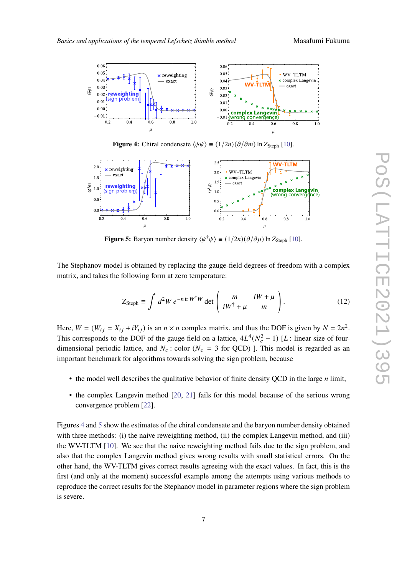<span id="page-6-0"></span>

**Figure 4:** Chiral condensate  $\langle \bar{\psi}\psi \rangle \equiv (1/2n)(\partial/\partial m) \ln Z_{\text{Steph}}$  [\[10\]](#page-8-1).

<span id="page-6-1"></span>

**Figure 5:** Baryon number density  $\langle \psi^{\dagger} \psi \rangle \equiv (1/2n)(\partial/\partial \mu) \ln Z_{\text{Steph}}$  [\[10\]](#page-8-1).

The Stephanov model is obtained by replacing the gauge-field degrees of freedom with a complex matrix, and takes the following form at zero temperature:

$$
Z_{\text{Steph}} \equiv \int d^2W \, e^{-n \, \text{tr} \, W^\dagger W} \det \left( \begin{array}{cc} m & iW + \mu \\ iW^\dagger + \mu & m \end{array} \right). \tag{12}
$$

Here,  $W = (W_{ij} = X_{ij} + iY_{ij})$  is an  $n \times n$  complex matrix, and thus the DOF is given by  $N = 2n^2$ . This corresponds to the DOF of the gauge field on a lattice,  $4L^4(N_c^2 - 1)$  [L : linear size of fourdimensional periodic lattice, and  $N_c$ : color ( $N_c = 3$  for QCD) ]. This model is regarded as an important benchmark for algorithms towards solving the sign problem, because

- the model well describes the qualitative behavior of finite density OCD in the large  $n$  limit,
- the complex Langevin method [\[20,](#page-8-10) [21\]](#page-8-11) fails for this model because of the serious wrong convergence problem [\[22\]](#page-8-12).

Figures [4](#page-6-0) and [5](#page-6-1) show the estimates of the chiral condensate and the baryon number density obtained with three methods: (i) the naive reweighting method, (ii) the complex Langevin method, and (iii) the WV-TLTM [\[10\]](#page-8-1). We see that the naive reweighting method fails due to the sign problem, and also that the complex Langevin method gives wrong results with small statistical errors. On the other hand, the WV-TLTM gives correct results agreeing with the exact values. In fact, this is the first (and only at the moment) successful example among the attempts using various methods to reproduce the correct results for the Stephanov model in parameter regions where the sign problem is severe.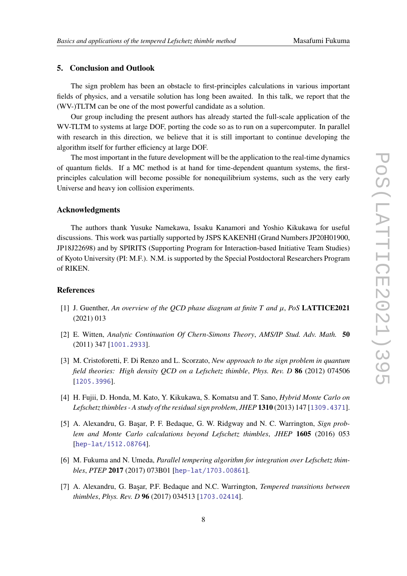## <span id="page-7-3"></span>**5. Conclusion and Outlook**

The sign problem has been an obstacle to first-principles calculations in various important fields of physics, and a versatile solution has long been awaited. In this talk, we report that the (WV-)TLTM can be one of the most powerful candidate as a solution.

Our group including the present authors has already started the full-scale application of the WV-TLTM to systems at large DOF, porting the code so as to run on a supercomputer. In parallel with research in this direction, we believe that it is still important to continue developing the algorithm itself for further efficiency at large DOF.

The most important in the future development will be the application to the real-time dynamics of quantum fields. If a MC method is at hand for time-dependent quantum systems, the firstprinciples calculation will become possible for nonequilibrium systems, such as the very early Universe and heavy ion collision experiments.

### **Acknowledgments**

The authors thank Yusuke Namekawa, Issaku Kanamori and Yoshio Kikukawa for useful discussions. This work was partially supported by JSPS KAKENHI (Grand Numbers JP20H01900, JP18J22698) and by SPIRITS (Supporting Program for Interaction-based Initiative Team Studies) of Kyoto University (PI: M.F.). N.M. is supported by the Special Postdoctoral Researchers Program of RIKEN.

## **References**

- <span id="page-7-0"></span>[1] J. Guenther, An overview of the QCD phase diagram at finite  $T$  and  $\mu$ , PoS **LATTICE2021** (2021) 013
- [2] E. Witten, *Analytic Continuation Of Chern-Simons Theory*, *AMS/IP Stud. Adv. Math.* **50** (2011) 347 [[1001.2933](https://arxiv.org/abs/1001.2933)].
- <span id="page-7-1"></span>[3] M. Cristoforetti, F. Di Renzo and L. Scorzato, *New approach to the sign problem in quantum field theories: High density QCD on a Lefschetz thimble*, *Phys. Rev. D* **86** (2012) 074506 [[1205.3996](https://arxiv.org/abs/1205.3996)].
- [4] H. Fujii, D. Honda, M. Kato, Y. Kikukawa, S. Komatsu and T. Sano, *Hybrid Monte Carlo on Lefschetz thimbles - A study of the residual sign problem*, *JHEP* **1310** (2013) 147 [[1309.4371](https://arxiv.org/abs/1309.4371)].
- <span id="page-7-4"></span>[5] A. Alexandru, G. Başar, P. F. Bedaque, G. W. Ridgway and N. C. Warrington, *Sign problem and Monte Carlo calculations beyond Lefschetz thimbles*, *JHEP* **1605** (2016) 053 [[hep-lat/1512.08764](https://arxiv.org/abs/1512.08764)].
- <span id="page-7-2"></span>[6] M. Fukuma and N. Umeda, *Parallel tempering algorithm for integration over Lefschetz thimbles*, *PTEP* **2017** (2017) 073B01 [[hep-lat/1703.00861](https://arxiv.org/abs/1703.00861)].
- [7] A. Alexandru, G. Başar, P.F. Bedaque and N.C. Warrington, *Tempered transitions between thimbles*, *Phys. Rev. D* **96** (2017) 034513 [[1703.02414](https://arxiv.org/abs/1703.02414)].